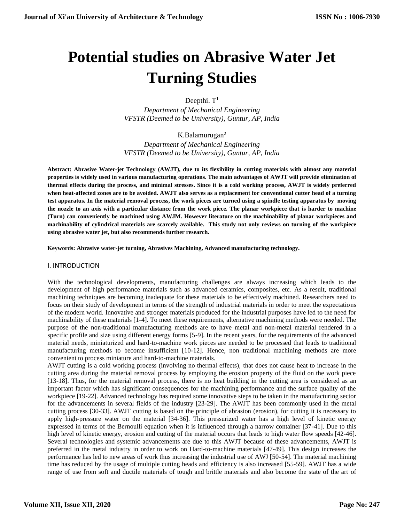# **Potential studies on Abrasive Water Jet Turning Studies**

Deepthi. T<sup>1</sup>

*Department of Mechanical Engineering VFSTR (Deemed to be University), Guntur, AP, India* 

K.Balamurugan<sup>2</sup>

*Department of Mechanical Engineering VFSTR (Deemed to be University), Guntur, AP, India* 

**Abstract: Abrasive Water-jet Technology (AWJT), due to its flexibility in cutting materials with almost any material properties is widely used in various manufacturing operations. The main advantages of AWJT will provide elimination of thermal effects during the process, and minimal stresses. Since it is a cold working process, AWJT is widely preferred when heat-affected zones are to be avoided. AWJT also serves as a replacement for conventional cutter head of a turning test apparatus. In the material removal process, the work pieces are turned using a spindle testing apparatus by moving the nozzle to an axis with a particular distance from the work piece. The planar workpiece that is harder to machine (Turn) can conveniently be machined using AWJM. However literature on the machinability of planar workpieces and machinability of cylindrical materials are scarcely available. This study not only reviews on turning of the workpiece using abrasive water jet, but also recommends further research.**

**Keywords: Abrasive water-jet turning, Abrasives Machining, Advanced manufacturing technology.**

I. INTRODUCTION

With the technological developments, manufacturing challenges are always increasing which leads to the development of high performance materials such as advanced ceramics, composites, etc. As a result, traditional machining techniques are becoming inadequate for these materials to be effectively machined. Researchers need to focus on their study of development in terms of the strength of industrial materials in order to meet the expectations of the modern world. Innovative and stronger materials produced for the industrial purposes have led to the need for machinability of these materials [1-4]. To meet these requirements, alternative machining methods were needed. The purpose of the non-traditional manufacturing methods are to have metal and non-metal material rendered in a specific profile and size using different energy forms [5-9]. In the recent years, for the requirements of the advanced material needs, miniaturized and hard-to-machine work pieces are needed to be processed that leads to traditional manufacturing methods to become insufficient [10-12]. Hence, non traditional machining methods are more convenient to process miniature and hard-to-machine materials.

AWJT cutting is a cold working process (involving no thermal effects), that does not cause heat to increase in the cutting area during the material removal process by employing the erosion property of the fluid on the work piece [13-18]. Thus, for the material removal process, there is no heat building in the cutting area is considered as an important factor which has significant consequences for the machining performance and the surface quality of the workpiece [19-22]. Advanced technology has required some innovative steps to be taken in the manufacturing sector for the advancements in several fields of the industry [23-29]. The AWJT has been commonly used in the metal cutting process [30-33]. AWJT cutting is based on the principle of abrasion (erosion), for cutting it is necessary to apply high-pressure water on the material [34-36]. This pressurized water has a high level of kinetic energy expressed in terms of the Bernoulli equation when it is influenced through a narrow container [37-41]. Due to this high level of kinetic energy, erosion and cutting of the material occurs that leads to high water flow speeds [42-46]. Several technologies and systemic advancements are due to this AWJT because of these advancements, AWJT is preferred in the metal industry in order to work on Hard-to-machine materials [47-49]. This design increases the performance has led to new areas of work thus increasing the industrial use of AWJ [50-54]. The material machining time has reduced by the usage of multiple cutting heads and efficiency is also increased [55-59]. AWJT has a wide range of use from soft and ductile materials of tough and brittle materials and also become the state of the art of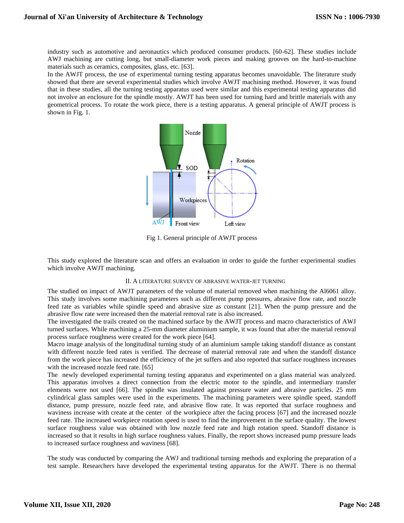industry such as automotive and aeronautics which produced consumer products. [60-62]. These studies include AWJ machining are cutting long, but small-diameter work pieces and making grooves on the hard-to-machine materials such as ceramics, composites, glass, etc. [63].

In the AWJT process, the use of experimental turning testing apparatus becomes unavoidable. The literature study showed that there are several experimental studies which involve AWJT machining method. However, it was found that in these studies, all the turning testing apparatus used were similar and this experimental testing apparatus did not involve an enclosure for the spindle mostly. AWJT has been used for turning hard and brittle materials with any geometrical process. To rotate the work piece, there is a testing apparatus. A general principle of AWJT process is shown in Fig. 1.



Fig 1. General principle of AWJT process

This study explored the literature scan and offers an evaluation in order to guide the further experimental studies which involve AWJT machining.

### II. A LITERATURE SURVEY OF ABRASIVE WATER-JET TURNING

The studied on impact of AWJT parameters of the volume of material removed when machining the Al6061 alloy. This study involves some machining parameters such as different pump pressures, abrasive flow rate, and nozzle feed rate as variables while spindle speed and abrasive size as constant [21]. When the pump pressure and the abrasive flow rate were increased then the material removal rate is also increased.

The investigated the trails created on the machined surface by the AWJT process and macro characteristics of AWJ turned surfaces. While machining a 25-mm diameter aluminium sample, it was found that after the material removal process surface roughness were created for the work piece [64].

Macro image analysis of the longitudinal turning study of an aluminium sample taking standoff distance as constant with different nozzle feed rates is verified. The decrease of material removal rate and when the standoff distance from the work piece has increased the efficiency of the jet suffers and also reported that surface roughness increases with the increased nozzle feed rate. [65]

The newly developed experimental turning testing apparatus and experimented on a glass material was analyzed. This apparatus involves a direct connection from the electric motor to the spindle, and intermediary transfer elements were not used [66]. The spindle was insulated against pressure water and abrasive particles. 25 mm cylindrical glass samples were used in the experiments. The machining parameters were spindle speed, standoff distance, pump pressure, nozzle feed rate, and abrasive flow rate. It was reported that surface roughness and waviness increase with create at the center of the workpiece after the facing process [67] and the increased nozzle feed rate. The increased workpiece rotation speed is used to find the improvement in the surface quality. The lowest surface roughness value was obtained with low nozzle feed rate and high rotation speed. Standoff distance is increased so that it results in high surface roughness values. Finally, the report shows increased pump pressure leads to increased surface roughness and waviness [68].

The study was conducted by comparing the AWJ and traditional turning methods and exploring the preparation of a test sample. Researchers have developed the experimental testing apparatus for the AWJT. There is no thermal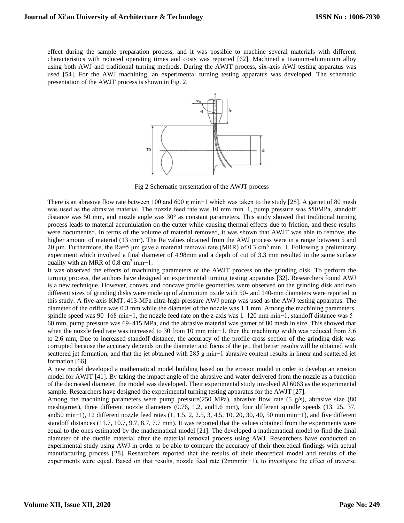effect during the sample preparation process, and it was possible to machine several materials with different characteristics with reduced operating times and costs was reported [62]. Machined a titanium-aluminium alloy using both AWJ and traditional turning methods. During the AWJT process, six-axis AWJ testing apparatus was used [54]. For the AWJ machining, an experimental turning testing apparatus was developed. The schematic presentation of the AWJT process is shown in Fig. 2.



Fig 2 Schematic presentation of the AWJT process

There is an abrasive flow rate between 100 and 600 g min−1 which was taken to the study [28]. A garnet of 80 mesh was used as the abrasive material. The nozzle feed rate was 10 mm min−1, pump pressure was 550MPa, standoff distance was 50 mm, and nozzle angle was 30° as constant parameters. This study showed that traditional turning process leads to material accumulation on the cutter while causing thermal effects due to friction, and these results were documented. In terms of the volume of material removed, it was shown that AWJT was able to remove, the higher amount of material (13 cm<sup>3</sup>). The Ra values obtained from the AWJ process were in a range between 5 and 20 μm. Furthermore, the Ra=5 μm gave a material removal rate (MRR) of 0.3 cm<sup>3</sup> min−1. Following a preliminary experiment which involved a final diameter of 4.98mm and a depth of cut of 3.3 mm resulted in the same surface quality with an MRR of 0.8 cm<sup>3</sup> min−1.

It was observed the effects of machining parameters of the AWJT process on the grinding disk. To perform the turning process, the authors have designed an experimental turning testing apparatus [32]. Researchers found AWJ is a new technique. However, convex and concave profile geometries were observed on the grinding disk and two different sizes of grinding disks were made up of aluminium oxide with 50- and 140-mm diameters were reported in this study. A five-axis KMT, 413-MPa ultra-high-pressure AWJ pump was used as the AWJ testing apparatus. The diameter of the orifice was 0.3 mm while the diameter of the nozzle was 1.1 mm. Among the machining parameters, spindle speed was 90–168 min−1, the nozzle feed rate on the z-axis was 1–120 mm min−1, standoff distance was 5– 60 mm, pump pressure was 69–415 MPa, and the abrasive material was garnet of 80 mesh in size. This showed that when the nozzle feed rate was increased to 30 from 10 mm min−1, then the machining width was reduced from 3.6 to 2.6 mm, Due to increased standoff distance, the accuracy of the profile cross section of the grinding disk was corrupted because the accuracy depends on the diameter and focus of the jet, that better results will be obtained with scattered jet formation, and that the jet obtained with 285 g min−1 abrasive content results in linear and scattered jet formation [66].

A new model developed a mathematical model building based on the erosion model in order to develop an erosion model for AWJT [41]. By taking the impact angle of the abrasive and water delivered from the nozzle as a function of the decreased diameter, the model was developed. Their experimental study involved Al 6063 as the experimental sample. Researchers have designed the experimental turning testing apparatus for the AWJT [27].

Among the machining parameters were pump pressure(250 MPa), abrasive flow rate (5 g/s), abrasive size (80 meshgarnet), three different nozzle diameters (0.76, 1.2, and1.6 mm), four different spindle speeds (13, 25, 37, and50 min−1), 12 different nozzle feed rates (1, 1.5, 2, 2.5, 3, 4,5, 10, 20, 30, 40, 50 mm min−1), and five different standoff distances (11.7, 10.7, 9.7, 8.7, 7.7 mm). It was reported that the values obtained from the experiments were equal to the ones estimated by the mathematical model [21]. The developed a mathematical model to find the final diameter of the ductile material after the material removal process using AWJ. Researchers have conducted an experimental study using AWJ in order to be able to compare the accuracy of their theoretical findings with actual manufacturing process [28]. Researchers reported that the results of their theoretical model and results of the experiments were equal. Based on that results, nozzle feed rate (2mmmin−1), to investigate the effect of traverse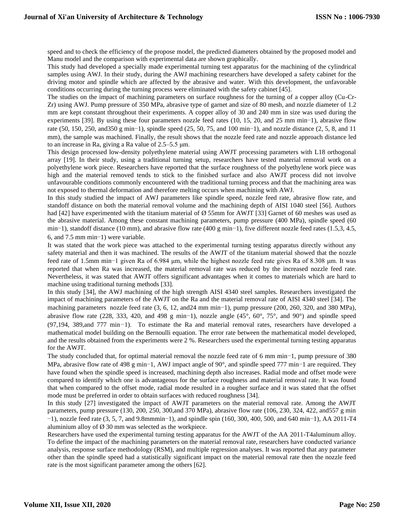speed and to check the efficiency of the propose model, the predicted diameters obtained by the proposed model and Manu model and the comparison with experimental data are shown graphically.

This study had developed a specially made experimental turning test apparatus for the machining of the cylindrical samples using AWJ. In their study, during the AWJ machining researchers have developed a safety cabinet for the driving motor and spindle which are affected by the abrasive and water. With this development, the unfavorable conditions occurring during the turning process were eliminated with the safety cabinet [45].

The studies on the impact of machining parameters on surface roughness for the turning of a copper alloy (Cu-Cr-Zr) using AWJ. Pump pressure of 350 MPa, abrasive type of garnet and size of 80 mesh, and nozzle diameter of 1.2 mm are kept constant throughout their experiments. A copper alloy of 30 and 240 mm in size was used during the experiments [39]. By using these four parameters nozzle feed rates (10, 15, 20, and 25 mm min−1), abrasive flow rate (50, 150, 250, and350 g min−1), spindle speed (25, 50, 75, and 100 min−1), and nozzle distance (2, 5, 8, and 11 mm), the sample was machined. Finally, the result shows that the nozzle feed rate and nozzle approach distance led to an increase in Ra, giving a Ra value of 2.5–5.5 μm.

This design processed low-density polyethylene material using AWJT processing parameters with L18 orthogonal array [19]. In their study, using a traditional turning setup, researchers have tested material removal work on a polyethylene work piece. Researchers have reported that the surface roughness of the polyethylene work piece was high and the material removed tends to stick to the finished surface and also AWJT process did not involve unfavourable conditions commonly encountered with the traditional turning process and that the machining area was not exposed to thermal deformation and therefore melting occurs when machining with AWJ.

In this study studied the impact of AWJ parameters like spindle speed, nozzle feed rate, abrasive flow rate, and standoff distance on both the material removal volume and the machining depth of AISI 1040 steel [56]. Authors had [42] have experimented with the titanium material of Ø 55mm for AWJT [33] Garnet of 60 meshes was used as the abrasive material. Among these constant machining parameters, pump pressure (400 MPa), spindle speed (60 min−1), standoff distance (10 mm), and abrasive flow rate (400 g min−1), five different nozzle feed rates (1.5,3, 4.5, 6, and 7.5 mm min−1) were variable.

It was stated that the work piece was attached to the experimental turning testing apparatus directly without any safety material and then it was machined. The results of the AWJT of the titanium material showed that the nozzle feed rate of 1.5mm min−1 given Ra of 6.984 μm, while the highest nozzle feed rate gives Ra of 8.308 μm. It was reported that when Ra was increased, the material removal rate was reduced by the increased nozzle feed rate. Nevertheless, it was stated that AWJT offers significant advantages when it comes to materials which are hard to machine using traditional turning methods [33].

In this study [34], the AWJ machining of the high strength AISI 4340 steel samples. Researchers investigated the impact of machining parameters of the AWJT on the Ra and the material removal rate of AISI 4340 steel [34]. The machining parameters nozzle feed rate (3, 6, 12, and24 mm min−1), pump pressure (200, 260, 320, and 380 MPa), abrasive flow rate (228, 333, 420, and 498 g min−1), nozzle angle (45°, 60°, 75°, and 90°) and spindle speed (97,194, 389,and 777 min−1). To estimate the Ra and material removal rates, researchers have developed a mathematical model building on the Bernoulli equation. The error rate between the mathematical model developed, and the results obtained from the experiments were 2 %. Researchers used the experimental turning testing apparatus for the AWJT.

The study concluded that, for optimal material removal the nozzle feed rate of 6 mm min−1, pump pressure of 380 MPa, abrasive flow rate of 498 g min−1, AWJ impact angle of 90°, and spindle speed 777 min−1 are required. They have found when the spindle speed is increased, machining depth also increases. Radial mode and offset mode were compared to identify which one is advantageous for the surface roughness and material removal rate. It was found that when compared to the offset mode, radial mode resulted in a rougher surface and it was stated that the offset mode must be preferred in order to obtain surfaces with reduced roughness [34].

In this study [27] investigated the impact of AWJT parameters on the material removal rate. Among the AWJT parameters, pump pressure (130, 200, 250, 300,and 370 MPa), abrasive flow rate (106, 230, 324, 422, and557 g min −1), nozzle feed rate (3, 5, 7, and 9.8mmmin−1), and spindle spin (160, 300, 400, 500, and 640 min−1), AA 2011-T4 aluminium alloy of  $\varnothing$  30 mm was selected as the workpiece.

Researchers have used the experimental turning testing apparatus for the AWJT of the AA 2011-T4aluminum alloy. To define the impact of the machining parameters on the material removal rate, researchers have conducted variance analysis, response surface methodology (RSM), and multiple regression analyses. It was reported that any parameter other than the spindle speed had a statistically significant impact on the material removal rate then the nozzle feed rate is the most significant parameter among the others [62].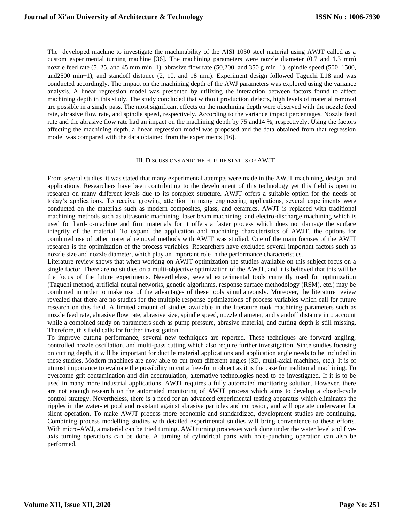The developed machine to investigate the machinability of the AISI 1050 steel material using AWJT called as a custom experimental turning machine [36]. The machining parameters were nozzle diameter (0.7 and 1.3 mm) nozzle feed rate (5, 25, and 45 mm min−1), abrasive flow rate (50,200, and 350 g min−1), spindle speed (500, 1500, and2500 min−1), and standoff distance (2, 10, and 18 mm). Experiment design followed Taguchi L18 and was conducted accordingly. The impact on the machining depth of the AWJ parameters was explored using the variance analysis. A linear regression model was presented by utilizing the interaction between factors found to affect machining depth in this study. The study concluded that without production defects, high levels of material removal are possible in a single pass. The most significant effects on the machining depth were observed with the nozzle feed rate, abrasive flow rate, and spindle speed, respectively. According to the variance impact percentages, Nozzle feed rate and the abrasive flow rate had an impact on the machining depth by 75 and14 %, respectively. Using the factors affecting the machining depth, a linear regression model was proposed and the data obtained from that regression model was compared with the data obtained from the experiments [16].

#### III. DISCUSSIONS AND THE FUTURE STATUS OF AWJT

From several studies, it was stated that many experimental attempts were made in the AWJT machining, design, and applications. Researchers have been contributing to the development of this technology yet this field is open to research on many different levels due to its complex structure. AWJT offers a suitable option for the needs of today's applications. To receive growing attention in many engineering applications, several experiments were conducted on the materials such as modern composites, glass, and ceramics. AWJT is replaced with traditional machining methods such as ultrasonic machining, laser beam machining, and electro-discharge machining which is used for hard-to-machine and firm materials for it offers a faster process which does not damage the surface integrity of the material. To expand the application and machining characteristics of AWJT, the options for combined use of other material removal methods with AWJT was studied. One of the main focuses of the AWJT research is the optimization of the process variables. Researchers have excluded several important factors such as nozzle size and nozzle diameter, which play an important role in the performance characteristics.

Literature review shows that when working on AWJT optimization the studies available on this subject focus on a single factor. There are no studies on a multi-objective optimization of the AWJT, and it is believed that this will be the focus of the future experiments. Nevertheless, several experimental tools currently used for optimization (Taguchi method, artificial neural networks, genetic algorithms, response surface methodology (RSM), etc.) may be combined in order to make use of the advantages of these tools simultaneously. Moreover, the literature review revealed that there are no studies for the multiple response optimizations of process variables which call for future research on this field. A limited amount of studies available in the literature took machining parameters such as nozzle feed rate, abrasive flow rate, abrasive size, spindle speed, nozzle diameter, and standoff distance into account while a combined study on parameters such as pump pressure, abrasive material, and cutting depth is still missing. Therefore, this field calls for further investigation.

To improve cutting performance, several new techniques are reported. These techniques are forward angling, controlled nozzle oscillation, and multi-pass cutting which also require further investigation. Since studies focusing on cutting depth, it will be important for ductile material applications and application angle needs to be included in these studies. Modern machines are now able to cut from different angles (3D, multi-axial machines, etc.). It is of utmost importance to evaluate the possibility to cut a free-form object as it is the case for traditional machining. To overcome grit contamination and dirt accumulation, alternative technologies need to be investigated. If it is to be used in many more industrial applications, AWJT requires a fully automated monitoring solution. However, there are not enough research on the automated monitoring of AWJT process which aims to develop a closed-cycle control strategy. Nevertheless, there is a need for an advanced experimental testing apparatus which eliminates the ripples in the water-jet pool and resistant against abrasive particles and corrosion, and will operate underwater for silent operation. To make AWJT process more economic and standardized, development studies are continuing. Combining process modelling studies with detailed experimental studies will bring convenience to these efforts. With micro-AWJ, a material can be tried turning. AWJ turning processes work done under the water level and fiveaxis turning operations can be done. A turning of cylindrical parts with hole-punching operation can also be performed.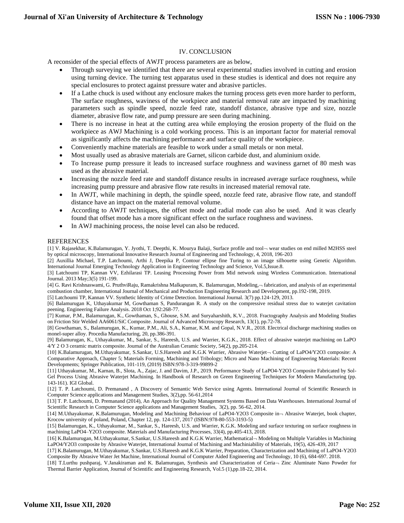## IV. CONCLUSION

A reconsider of the special effects of AWJT process parameters are as below,

- Through surveying we identified that there are several experimental studies involved in cutting and erosion using turning device. The turning test apparatus used in these studies is identical and does not require any special enclosures to protect against pressure water and abrasive particles.
- If a Lathe chuck is used without any enclosure makes the turning process gets even more harder to perform, The surface roughness, waviness of the workpiece and material removal rate are impacted by machining parameters such as spindle speed, nozzle feed rate, standoff distance, abrasive type and size, nozzle diameter, abrasive flow rate, and pump pressure are seen during machining.
- There is no increase in heat at the cutting area while employing the erosion property of the fluid on the workpiece as AWJ Machining is a cold working process. This is an important factor for material removal as significantly affects the machining performance and surface quality of the workpiece.
- Conveniently machine materials are feasible to work under a small metals or non metal.
- Most usually used as abrasive materials are Garnet, silicon carbide dust, and aluminium oxide.
- To Increase pump pressure it leads to increased surface roughness and waviness garnet of 80 mesh was used as the abrasive material.
- Increasing the nozzle feed rate and standoff distance results in increased average surface roughness, while increasing pump pressure and abrasive flow rate results in increased material removal rate.
- In AWJT, while machining in depth, the spindle speed, nozzle feed rate, abrasive flow rate, and standoff distance have an impact on the material removal volume.
- According to AWJT techniques, the offset mode and radial mode can also be used. And it was clearly found that offset mode has a more significant effect on the surface roughness and waviness.
- In AWJ machining process, the noise level can also be reduced.

#### **REFERENCES**

[1] V. Rajasekhar, K.Balamurugan, Y. Jyothi, T. Deepthi, K. Mourya Balaji, Surface profile and tool wear studies on end milled M2HSS steel by optical microscopy, International Innovative Research Journal of Engineering and Technology, 4, 2018, 196-203

[2] Auxillia Michael, T.P. Latchoumi, Arthi J, Deepika P, Contour ellipse fine Turing to an image silhouette using Genetic Algorithm. International Journal Emerging Technology Application in Engineering Technology and Science, Vol.5,Issue.8.

[3] Latchoumi TP, Kannan VV, Ezhilarasi TP. Leasing Processing Power from Mid network using Wireless Communication. International Journal. 2013 May;3(5) 191-199.

[4] G. Ravi Krishnaswami, G. PruthviRaju, Ramakrishna Malkapuram, K. Balamurugan, Modeling,- fabrication, and analysis of an experimental combustion chamber, International Journal of Mechanical and Production Engineering Research and Development, pp.192-198, 2019.

[5] Latchoumi TP, Kannan VV. Synthetic Identity of Crime Detection. International Journal. 3(7) pp.124-129, 2013.

[6] Balamurugan K, Uthayakumar M, Gowthaman S, Pandurangan R. A study on the compressive residual stress due to waterjet cavitation peening. Engineering Failure Analysis. 2018 Oct 1;92:268-77.

[7] Kumar, P.M., Balamurugan, K., Gowthaman, S., Ghouse, S.M. and Suryaharshith, K.V., 2018. Fractography Analysis and Modeling Studies on Friction Stir Welded AA6061/SiC Composite. Journal of Advanced Microscopy Research, 13(1), pp.72-78.

[8] Gowthaman, S., Balamurugan, K., Kumar, P.M., Ali, S.A., Kumar, K.M. and Gopal, N.V.R., 2018. Electrical discharge machining studies on monel-super alloy. Procedia Manufacturing, 20, pp.386-391.

[9] Balamurugan, K., Uthayakumar, M., Sankar, S., Hareesh, U.S. and Warrier, K.G.K., 2018. Effect of abrasive waterjet machining on LaPO 4/Y 2 O 3 ceramic matrix composite. Journal of the Australian Ceramic Society, 54(2), pp.205-214.

[10] K.Balamurugan, M.Uthayakumar, S.Sankar, U.S.Hareesh and K.G.K Warrier, Abrasive Waterjet- Cutting of LaPO4/Y2O3 composite: A Comparative Approach, Chapter 5; Materials Forming, Machining and Tribology; Micro and Nano Machining of Engineering Materials: Recent Developments; Springer Publication, 101-119, (2019) ISBN:978-3-319-99899-2

[11] Uthayakumar, M., Karnan, B., Slota, A., Zajac, J. and Davim, J.P., 2019. Performance Study of LaPO4-Y2O3 Composite Fabricated by Sol-Gel Process Using Abrasive Waterjet Machining. In Handbook of Research on Green Engineering Techniques for Modern Manufacturing (pp. 143-161). IGI Global.

[12] T. P. Latchoumi, D. Premanand , A Discovery of Semantic Web Service using Agents. International Journal of Scientific Research in Computer Science applications and Management Studies, 3(2),pp. 56-61,2014

[13] T. P. Latchoumi, D. Premanand (2014), An Approach for Quality Management Systems Based on Data Warehouses. International Journal of Scientific Research in Computer Science applications and Management Studies, 3(2), pp. 56-62, 2014.

[14] M.Uthayakumar, K.Balamurugan, Modeling and Machining Behaviour of LaPO4-Y2O3 Composite in - Abrasive Waterjet, book chapter, Krocow university of poland, Poland, Chapter 12, pp. 124-137, 2017 (ISBN:978-80-553-3193-5)

[15] Balamurugan, K., Uthayakumar, M., Sankar, S., Hareesh, U.S. and Warrier, K.G.K. Modeling and surface texturing on surface roughness in machining LaPO4–Y2O3 composite. Materials and Manufacturing Processes, 33(4), pp.405-413, 2018.

[16] K.Balamurugan, M.Uthayakumar, S.Sankar, U.S.Hareesh and K.G.K Warrier, Mathematical – Modeling on Multiple Variables in Machining LaPO4/Y2O3 composite by Abrasive Waterjet, International Journal of Machining and Machiniability of Materials, 19(5), 426-439, 2017

[17] K.Balamurugan, M.Uthayakumar, S.Sankar, U.S.Hareesh and K.G.K Warrier, Preparation, Characterization and Machining of LaPO4-Y2O3 Composite By Abrasive Water Jet Machine, International Journal of Computer Aided Engineering and Technology, 10 (6), 684-697. 2018.

[18] T.Lurthu pushparaj, V.Janakiraman and K. Balamurugan, Synthesis and Characterization of Ceria Zinc Aluminate Nano Powder for Thermal Barrier Application, Journal of Scientific and Engineering Research, Vol.5 (1),pp.18-22, 2014.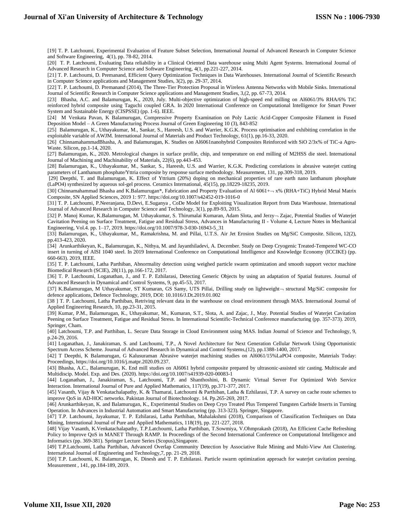[19] T. P. Latchoumi, Experimental Evaluation of Feature Subset Selection, International Journal of Advanced Research in Computer Science and Software Engineering, 4(1), pp. 78-82, 2014.

[20] T. P. Latchoumi, Evaluating Data reliability in a Clinical Oriented Data warehouse using Multi Agent Systems. International Journal of Advanced Research in Computer Science and Software Engineering, 4(1, pp.221-227, 2014.

[21] T. P. Latchoumi, D. Premanand, Efficient Query Optimization Techniques in Data Warehouses. International Journal of Scientific Research in Computer Science applications and Management Studies, 3(2), pp. 29-37, 2014.

[22] T. P. Latchoumi, D. Premanand (2014), The Three-Tier Protection Proposal in Wireless Antenna Networks with Mobile Sinks. International Journal of Scientific Research in Computer Science applications and Management Studies, 3,(2, pp. 67-73, 2014.

[23] Bhasha, A.C. and Balamurugan, K., 2020, July. Multi-objective optimization of high-speed end milling on Al6061/3% RHA/6% TiC reinforced hybrid composite using Taguchi coupled GRA. In 2020 International Conference on Computational Intelligence for Smart Power System and Sustainable Energy (CISPSSE) (pp. 1-6). IEEE.

[24] M Venkata Pavan, K Balamurugan, [Compressive Property Examination on Poly Lactic Acid-Copper Composite Filament in Fused](javascript:void(0))  Deposition Model – [A Green Manufacturing Process](javascript:void(0)) Journal of Green Engineering 10 (3), 843-852

[25] Balamurugan, K., Uthayakumar, M., Sankar, S., Hareesh, U.S. and Warrier, K.G.K. Process optimisation and exhibiting correlation in the exploitable variable of AWJM. International Journal of Materials and Product Technology, 61(1), pp.16-33, 2020.

[26] ChinnamahammadBhasha, A. and Balamurugan, K. Studies on Al6061nanohybrid Composites Reinforced with SiO 2/3x% of TiC-a Agro-Waste. Silicon, pp.1-14, 2020.

[27] Balamurugan, K., 2020. Metrological changes in surface profile, chip, and temperature on end milling of M2HSS die steel. International Journal of Machining and Machinability of Materials, 22(6), pp.443-453.

[28] Balamurugan, K., Uthayakumar, M., Sankar, S., Hareesh, U.S. and Warrier, K.G.K. Predicting correlations in abrasive waterjet cutting parameters of Lanthanum phosphate/Yttria composite by response surface methodology. Measurement, 131, pp.309-318, 2019.

[29] Deepthi, T. and Balamurugan, K. Effect of Yttrium (20%) doping on mechanical properties of rare earth nano lanthanum phosphate (LaPO4) synthesized by aqueous sol-gel process. Ceramics International, 45(15), pp.18229-18235, 2019.

[30] Chinnamahammad Bhasha and K.Balamurugan\*, Fabrication and Property Evaluation of Al 6061+ - x% (RHA+TiC) Hybrid Metal Matrix Composite, SN Applied Sciences, 2019 1: 977. https://doi.org/10.1007/s42452-019-1016-0

[31] T. P. Latchoumi, P.Neeranjana, D.Devi, E.Suganya , CoDe Model for Exploiting Visualization Report from Data Warehouse. International Journal of Advanced Research in Computer Science and Technology, 3(1), pp.89-93, 2015.

[32] P. Manoj Kumar, K.Balamurugan, M. Uthayakumar, S. Thirumalai Kumaran, Adam Slota, and Jerzy-Zajac, Potential Studies of Waterjet Cavitation Peening on Surface Treatment, Fatigue and Residual Stress, Advances in Manufacturing II - Volume 4, Lecture Notes in Mechanical Engineering, Vol.4. pp. 1–17, 2019. https://doi.org/10.1007/978-3-030-16943-5\_31

[33] Balamurugan, K., Uthayakumar, M., Ramakrishna, M. and Pillai, U.T.S. Air Jet Erosion Studies on Mg/SiC Composite. Silicon, 12(2), pp.413-423, 2020.

[34] Arunkarthikeyan, K., Balamurugan, K., Nithya, M. and Jayanthiladevi, A. December. Study on Deep Cryogenic Treated-Tempered WC-CO insert in turning of AISI 1040 steel. In 2019 International Conference on Computational Intelligence and Knowledge Economy (ICCIKE) (pp. 660-663). 2019, IEEE.

[35] T. P. Latchoumi, Latha Parthiban, Abnormality detection using weighed particle swarm optimization and smooth support vector machine Biomedical Research (SCIE), 28(11), pp.166-172, 2017.

[36] T. P. Latchoumi, Loganathan, J., and T. P. Ezhilarasi, [Detecting Generic Objects by](https://www.researchgate.net/publication/319880018_Detecting_Generic_Objects_by_using_an_adaptation_of_Spatial_features?_iepl%5BviewId%5D=UgGqh36Zri1byoPrNO6fuJRR&%3B_iepl%5BprofilePublicationItemVariant%5D=default&%3B_iepl%5Bcontexts%5D%5B0%5D=prfpi&%3B_iepl%5BtargetEntityId%5D=PB%3A319880018&%3B_iepl%5BinteractionType%5D=publicationTitle) [using an adaptation of Spatial features.](https://www.researchgate.net/publication/319880018_Detecting_Generic_Objects_by_using_an_adaptation_of_Spatial_features?_iepl%5BviewId%5D=UgGqh36Zri1byoPrNO6fuJRR&%3B_iepl%5BprofilePublicationItemVariant%5D=default&%3B_iepl%5Bcontexts%5D%5B0%5D=prfpi&%3B_iepl%5BtargetEntityId%5D=PB%3A319880018&%3B_iepl%5BinteractionType%5D=publicationTitle) Journal of Advanced Research in Dynamical and Control Systems, 9, pp.45-53, 2017.

[37] K.Balamurugan, M Uthayakumar, ST Kumaran, GS Samy, UTS Pillai, Drilling study on lightweight - structural Mg/SiC composite for defence applications, Defence Technology, 2019, DOI: 10.1016/J.Dt.2019.01.002

[38 ] T. P. Latchoumi, Latha Parthiban, Retriving relevant data in the warehouse on cloud environment through MAS. International Journal of Applied Engineering Research, 10, pp.23-31, 2015.

[39] Kumar, P.M., Balamurugan, K., Uthayakumar, M., Kumaran, S.T., Slota, A. and Zajac, J., May. Potential Studies of Waterjet Cavitation Peening on Surface Treatment, Fatigue and Residual Stress. In International Scientific-Technical Conference manufacturing (pp. 357-373). 2019, Springer, Cham.

[40] Latchoumi, T.P. and Parthiban, L. Secure Data Storage in Cloud Environment using MAS. Indian Journal of Science and Technology, 9, p.24-29, 2016.

[41] Loganathan, J., Janakiraman, S. and Latchoumi, T.P., A Novel Architecture for Next Generation Cellular Network Using Opportunistic Spectrum Access Scheme. Journal of Advanced Research in Dynamical and Control Systems,(12), pp.1388-1400, 2017.

[42] T Deepthi, K Balamurugan, G Kalusuraman [Abrasive waterjet machining studies on Al6061/15%LaPO4 composite,](javascript:void(0)) Materials Today: Proceedings[, https://doi.org/10.1016/j.matpr.2020.09.237.](https://doi.org/10.1016/j.matpr.2020.09.237)

[43] Bhasha, A.C., Balamurugan, K. End mill studies on Al6061 hybrid composite prepared by ultrasonic-assisted stir casting. Multiscale and Multidiscip. Model. Exp. and Des. (2020). https://doi.org/10.1007/s41939-020-00083-1

[44] Loganathan, J., Janakiraman, S., Latchoumi, T.P. and Shanthoshini, B. Dynamic Virtual Server For Optimized Web Service Interaction. International Journal of Pure and Applied Mathematics, 117(19), pp.371-377, 2017.

[45] Vasanth, Vijay & Venkatachalapathy, K. & Thamarai, Latchoumi & Parthiban, Latha & Ezhilarasi, T.P. A survey on cache route schemes to improve QoS in AD-HOC networks. Pakistan Journal of Biotechnology. 14. Pp.265-269, 2017.

[46] Arunkarthikeyan, K. and Balamurugan, K., Experimental Studies on Deep Cryo Treated Plus Tempered Tungsten Carbide Inserts in Turning Operation. In Advances in Industrial Automation and Smart Manufacturing (pp. 313-323). Springer, Singapore.

[47] T.P. Latchoumi, Jayakumar, T. P. Ezhilarasi, Latha Parthiban, Mahalakshmi (2018), Comparison of Classification Techniques on Data Mining, International Journal of Pure and Applied Mathematics, 118(19), pp. 221-227, 2018.

[48] Vijay Vasanth, K.Venkatachalapathy, T.P.Latchoumi, Latha Parthiban, T.Sowmiya, V.Ohmprakash (2018), An Efficient Cache Refreshing Policy to Improve QoS in MANET Through RAMP. In Proceedings of the Second International Conference on Computational Intelligence and Informatics (pp. 369-381). Springer Lecture Series (Scopus),Singapore.

[49] T.P.Latchoumi, Latha Parthiban, Advanced Overlap Community Detection by Associative Rule Mining and Multi-View Ant Clustering. International Journal of Engineering and Technology,7, pp. 21-29, 2018.

[50] T.P. Latchoumi, K. Balamurugan, K. Dinesh and T. P. Ezhilarasi. Particle swarm optimization approach for waterjet cavitation peening. Measurement , 141, pp.184-189, 2019.